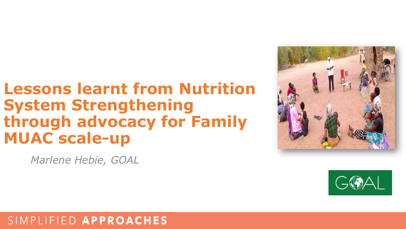## **Lessons learnt from Nutrition System Strengthening through advocacy for Family MUAC scale-up**

*Marlene Hebie, GOAL*





### SIMPLIFIED APPROACHES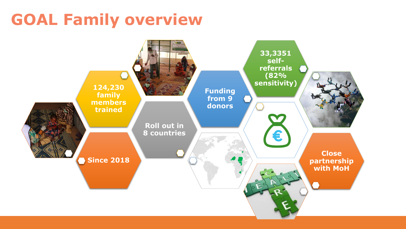# **GOAL Family overview**

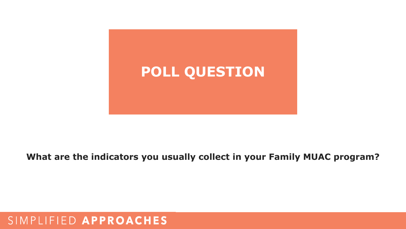

### **What are the indicators you usually collect in your Family MUAC program?**

### SIMPLIFIED APPROACHES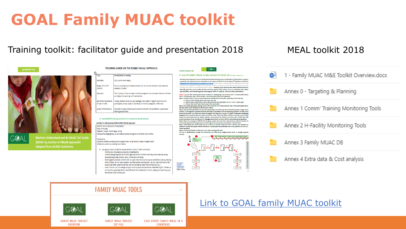# **GOAL Family MUAC toolkit**

### Training toolkit: facilitator guide and presentation 2018 MEAL toolkit 2018





GGAL

**Mothers Understand and do MUAC ToT Guide** (MUAC by mother or MbyM approach) **Adapted from ALIMA Guidelines** 

#### Topic: **Family MUAC screening** Facilitator: GOAL (with MoH ideally) Target of this ToT Community health promoters/workers (i.e. Community Nutrition Volunteers for (trainer): example in Sudan) Objective: Train trainers on how to teach mothers/caregivers how to screen their own children and detect the early signs of malnutrition Set of training material Visuals, oedema mock-up, key messages, tally sheet or registry book to count for each trainer: participants, MUAC tapes to distribute to mothers/caregivers, M&E tools Length of the training: 30 to 60 minutes (including some extra time to do individual follow-up and posttraining assessment)

TRAINING GUIDE ON THE FAMILY MUAC APPROACH

#### 1) Family MUAC training activities for community health workers

Activity # 1: Introduction of the FAMILY MUAC approach

Method: Group discussion/Presentation fime: 5 minutes

Material: Visuals, MUAC tapes, string

Participants/target group: 20-25 mothers and/or caregivers of children 6-59 months instructions:

Welcome mothers/caregivers and register them using the tally sheet or registry book nitiate discussion by covering topics below:

- . Ask group what could be the causes of malnutrition in their community Mothers do not practice exclusively breastfeeding
- Mother start giving food to children aged less than 6 months when they should be exclusively breastfeeding these children (early introduction of foods)
- Poor hygiene practices (mothers do not wash their hands with soap or ash before cooking, feeding their children, do not wash properly raw food before cooking them, do not wash their hand with soap or ash after using the latrines, do not maintained clean their compound, etc.)
- Lack of community knowledge on good nutrition practices (exclusive breastfeeding for children up to 6 months: adequate dietary diversification for children 6-23 months, adequate meal frequency for children 6-23 months, etc.)



Nutrition Guideace Note

#### 4. Use of FAMILY MUAC in the context of COVID-19 22<sup>04</sup> April - Version 1.0

The Family MUAC approach is one of UNICEE and the Global Technical Advisory Mechanisms priority actions to support preparation and response to acute mainutrition in the context of COVID-19, see the March 27<sup>th</sup> cuidance brief for the Management of Child Wasting in the context of COVID-19, 'Priority Action 4. Inte <u>state and consistence of the program and construction of the state</u> Joper Arm Circumference (MUAC) topes'. However, some countries have raised concerns around its leasibility, given the current context and the restrictions applied. GOAL believes it can be undertaken with relative

ease and safely, whist maintaining social distancing and wider IPC measures. There are various permutations:

Option 1) As per other lifesaving distribution mechanisms, small groups can be trained with 1 x individual/HH (ideal<br>with 1 x child present). Max' 10 HH members. Use a local space close to HH's gathered. Step 1: CHW/Volunteer to set-up the area where the training will be conducted, respecting social distancing 1.a. Set-up a hand-washing station with water and soap

- 1.b. Mark a square using a stick or ash on the ground for each participant to sit in – min' 2 meters apart<br>1.c. Place a clean MUAC tape in each square (use soap/water) step 2: Set up safe queuing by placing a stone with a minimum of 2 meters between each. When participants arrive,<br>ask each person (carer-child pair) to stand next to a stone.

Step 3: Welcome each participant one-by-one by respecting social distancing. Record attendance (name, village, phone number]. Go through the symptoms checklist individually to ascertain none are displaying symptoms. If none, move numbury to use them to 1) mesh their heads thoroughly with soap and 2) to go to a square. If someone is displaying<br>symptoms, they should be asked to remain next to their stone. Their information should be recorded, plus a

context to communing move way. Is premi way they cannot assemble the training, tosie mem win a Music. Tape win<br>Single instructions on use, provide key IPC messages and ask them to return home to self-isolate (as per guidan oedema in children and explain referral mechanism. If participants have attended with a child, practice use of MUAC. Answer ques

Step 6: Ask each participant to leave one by one, after washing their hand. This can be implemented through the Community Led Action (CLA) neighbourhood units, or through separate





#### **FAMILY MUAC TOOLS**



**FAMILY MUAC TOOLKIT OVERVIEW** 



**FAMILY MUAC TOOLKIT** 

**ZIP FILE** 



**CASE STUDY: FAMILY MUAC IN 3 COUNTRIES** 

#### [Link to GOAL family MUAC toolkit](https://www.simplifiedapproaches.org/copy-of-tools-resources)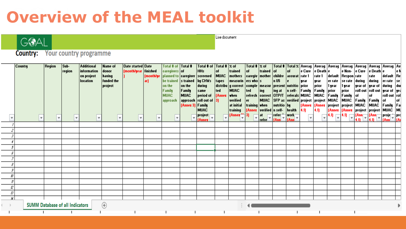#### Live document GOAL **Country:** Your country programme Region Sub-Total # of  $|Total # |$ % of Total  $\frac{1}{2}$   $\times$  of | Total # | Total % | Averag | Averag | Averag | Averag | Averag | Averag | Av **Country Additional Name of** Date started Date Total # of | Total # **HHs** information donor (month/year finished  $|$  caregivers  $|$  of of trained of trained l of e Cure e Death e e None Cure e Death e region lof le N having (month/ye planned to **caregiver** screened **MUAC** mothers  $|$ caregiv $|$ mother $|$ childre $|$ on project accurat rate 1 rate 1 default |Respon|rate| |rate default |Re **funded** the n U5 **location** ar) be trained s trained by CHVs tapes  $ers who's$ during during measurin **vear** | year er rate se rate er rate se project on the on the during  $|\textsf{distribu}|$  $|g \>$ correct |comple |measur |present |nutritio |prior prior |1 year |1 year |year of |year of |during| | dui Family ted **MUAC** ted ing ing at n self-Family prior  $|$ roll out  $|$ roll out  $|$ year of  $|$ yea **Family** same Family prior **MUAC** period of **[Anne When** refresh | correct | OTPIT referals MUAC **MUAC**  $|Family|$ Family roll out **MUAC** 0f l of |rol| roll out of  $|3|$ verified **MUAC** SFP as verified project project **MUAC MUAC** approach er **Family Family** 0f of approach Family at initial training  $\vert$  when  $\vert$ nutritio project **MUAC** (Annez 3) by **[Annex** [Annez project MUAC Family Fal (Annex) verified n selfhealth  $4.0<sub>1</sub>$ (Annez (Annez **MUAC** |MU **MUAC** training  $4.0$ project project  $\frac{1}{2}$  $\left| 4.0 \right|$  $\frac{1}{\sqrt{(\text{Ann})^2}}$  $\frac{|\text{work}|}{|\text{fAnn}|}$  $[Annex]$ at  $\left| \begin{matrix} \text{proj}_{\mathbf{c}} \\ \text{proj}_{\mathbf{c}} \end{matrix} \right| = \left| \begin{matrix} \text{proj}_{\mathbf{c}} \\ \text{proj}_{\mathbf{c}} \end{matrix} \right|$ 3)  $[Ann]$  $|$ (Ann $|$ project **p**  $\overline{\mathbf{r}}$ ⋤ ١v  $\overline{\mathbf{v}}$  $\overline{\phantom{a}}$  $\overline{\mathbf{v}}$  $\overline{\mathbf{v}}$  $\mathbf{v}$  $\overline{\mathbf{v}}$  $\mathbf{v}$  $\mathbf{v}$  $\mathbf{v}$ ١v v refre h. [Ann] la n Annex 2  $\mathcal{J}$ 4  $\bar{g}$  $\mathcal S$  $\bar{r}$ 8 3 Ю  $^{\prime\prime}$ 12  $\mathcal{L}^p$ М  $^\circledR$ **SUMM Database of all Indicators** T.  $\mathbf{I}$ т -1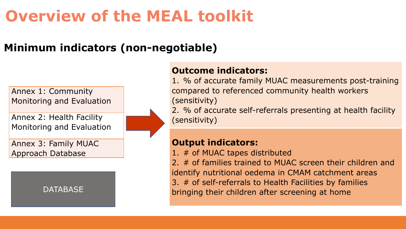### **Minimum indicators (non-negotiable)**

Annex 1: Community Monitoring and Evaluation

Annex 2: Health Facility Monitoring and Evaluation

Annex 3: Family MUAC Approach Database

**DATABASE** 

### **Outcome indicators:**

1. % of accurate family MUAC measurements post-training compared to referenced community health workers (sensitivity)

2. % of accurate self-referrals presenting at health facility (sensitivity)

### **Output indicators:**

1. # of MUAC tapes distributed

2. # of families trained to MUAC screen their children and identify nutritional oedema in CMAM catchment areas 3. # of self-referrals to Health Facilities by families bringing their children after screening at home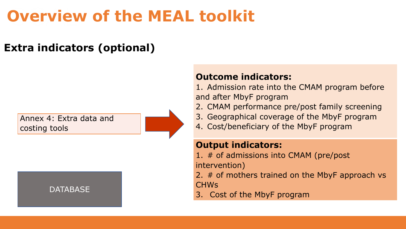### **Extra indicators (optional)**

Annex 4: Extra data and costing tools

#### **DATABASE**

### **Outcome indicators:**

1. Admission rate into the CMAM program before and after MbyF program

- 2. CMAM performance pre/post family screening
- 3. Geographical coverage of the MbyF program
- 4. Cost/beneficiary of the MbyF program

### **Output indicators:**

- 1. # of admissions into CMAM (pre/post intervention)
- 2. # of mothers trained on the MbyF approach vs CHWs
- 3. Cost of the MbyF program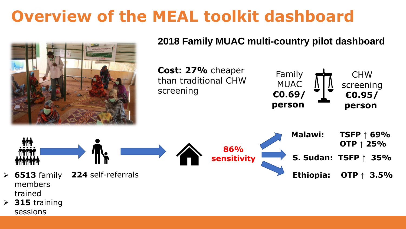# **Overview of the MEAL toolkit dashboard**



trained

➢ **315** training sessions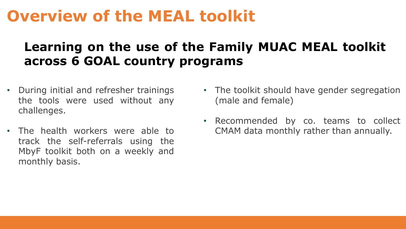### **Learning on the use of the Family MUAC MEAL toolkit across 6 GOAL country programs**

- During initial and refresher trainings the tools were used without any challenges.
- The health workers were able to track the self-referrals using the MbyF toolkit both on a weekly and monthly basis.
- The toolkit should have gender segregation (male and female)
- Recommended by co. teams to collect CMAM data monthly rather than annually.